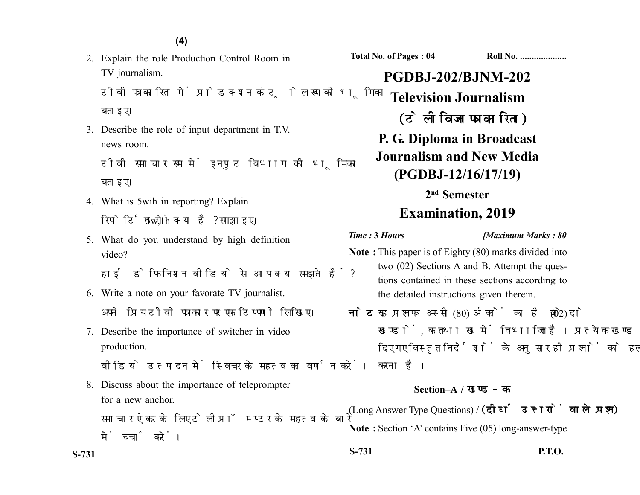2. Explain the role Production Control Room in TV journalism.

टीवी पत्रकारिता में प्रोडक्शन कंट्रोल रूम की भूमिका बताइए।

3. Describe the role of input department in T.V. news room.

टीवी समाचार रूम में इनपट विभाग को भूमिका बताइए।

- 4. What is 5wih in reporting? Explain रिपोर्टिंग में  $5w,1h$  क्या है? समझाइए।
- 5. What do you understand by high definition video?

हाई डेफिनिशन वीडियो से आप क्या समझते हैं?

- 6. Write a note on your favorate TV journalist. अपने प्रिय टीवी पत्रकार पर एक टिप्पणी लिखिए।
- 7. Describe the importance of switcher in video production.

वीडियो उत्पादन में स्विचर के महत्व का वर्णन करें।

8. Discuss about the importance of teleprompter for a new anchor.

समाचार एंकर के लिए टेलीप्रॉम्प्टर के महत्व के बारे में चर्चा करें।

**Total No. of Pages : 04 Roll No. ...................** 

# **PGDBJ-202/BJNM-202 Television Journalism** (टेलीविजन पत्रकारिता) **P. G. Diploma in Broadcast Journalism and New Media (PGDBJ-12/16/17/19)**

# **2nd Semester Examination, 2019**

#### *Time :* **3** *Hours [Maximum Marks : 80*

- **Note :** This paper is of Eighty (80) marks divided into two (02) Sections A and B. Attempt the questions contained in these sections according to the detailed instructions given therein.
- नोट: यह प्रश्नपत्र अस्सी (80) अंकों का है जो दो (02) खण्डों, क तथा ख में विभाजित है। प्रत्येक खण्ड में दिए गए विस्तृत निर्देशों के अनुसार ही प्रश्नों को हल करना है।

### **Section–A /**

(Long Answer Type Questions) / (दीर्घ उत्तरों वाले प्रश्न) **Note :** Section 'A' contains Five (05) long-answer-type

**S-731 P.T.O.**